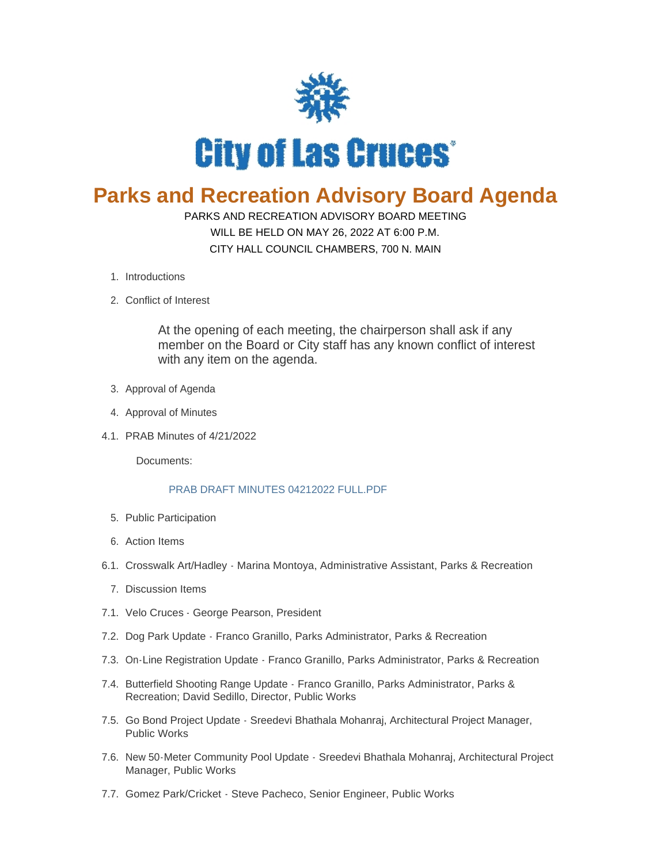

## **Parks and Recreation Advisory Board Agenda**

## PARKS AND RECREATION ADVISORY BOARD MEETING WILL BE HELD ON MAY 26, 2022 AT 6:00 P.M.

CITY HALL COUNCIL CHAMBERS, 700 N. MAIN

- 1. Introductions
- 2. Conflict of Interest

At the opening of each meeting, the chairperson shall ask if any member on the Board or City staff has any known conflict of interest with any item on the agenda.

- 3. Approval of Agenda
- 4. Approval of Minutes
- PRAB Minutes of 4/21/2022 4.1.

Documents:

## [PRAB DRAFT MINUTES 04212022 FULL.PDF](https://www.las-cruces.org/AgendaCenter/ViewFile/Item/9452?fileID=15481)

- 5. Public Participation
- Action Items 6.
- 6.1. Crosswalk Art/Hadley Marina Montoya, Administrative Assistant, Parks & Recreation
	- 7. Discussion Items
- 7.1. Velo Cruces George Pearson, President
- 7.2. Dog Park Update Franco Granillo, Parks Administrator, Parks & Recreation
- 7.3. On-Line Registration Update Franco Granillo, Parks Administrator, Parks & Recreation
- 7.4. Butterfield Shooting Range Update Franco Granillo, Parks Administrator, Parks & Recreation; David Sedillo, Director, Public Works
- 7.5. Go Bond Project Update Sreedevi Bhathala Mohanraj, Architectural Project Manager, Public Works
- 7.6. New 50 Meter Community Pool Update Sreedevi Bhathala Mohanraj, Architectural Project Manager, Public Works
- 7.7. Gomez Park/Cricket Steve Pacheco, Senior Engineer, Public Works